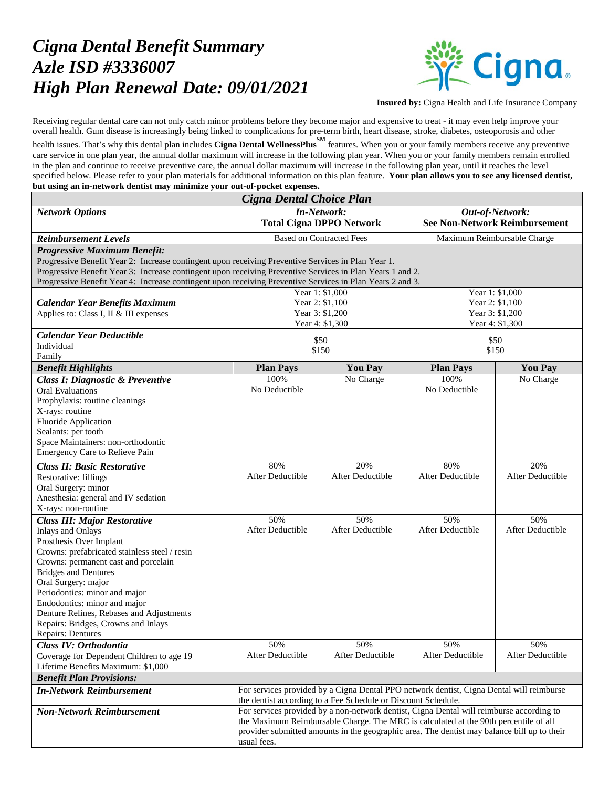## *Cigna Dental Benefit Summary Azle ISD #3336007 High Plan Renewal Date: 09/01/2021*



**Insured by:** Cigna Health and Life Insurance Company

Receiving regular dental care can not only catch minor problems before they become major and expensive to treat - it may even help improve your overall health. Gum disease is increasingly being linked to complications for pre-term birth, heart disease, stroke, diabetes, osteoporosis and other

health issues. That's why this dental plan includes **Cigna Dental WellnessPlus** features. When you or your family members receive any preventive care service in one plan year, the annual dollar maximum will increase in the following plan year. When you or your family members remain enrolled in the plan and continue to receive preventive care, the annual dollar maximum will increase in the following plan year, until it reaches the level specified below. Please refer to your plan materials for additional information on this plan feature. **Your plan allows you to see any licensed dentist, but using an in-network dentist may minimize your out-of-pocket expenses.**

| Cigna Dental Choice Plan                                                                                                                        |                                                                                             |                             |                                      |                             |  |
|-------------------------------------------------------------------------------------------------------------------------------------------------|---------------------------------------------------------------------------------------------|-----------------------------|--------------------------------------|-----------------------------|--|
| <b>Network Options</b>                                                                                                                          | <b>In-Network:</b>                                                                          |                             | Out-of-Network:                      |                             |  |
|                                                                                                                                                 | <b>Total Cigna DPPO Network</b>                                                             |                             | <b>See Non-Network Reimbursement</b> |                             |  |
| <b>Reimbursement Levels</b>                                                                                                                     | <b>Based on Contracted Fees</b>                                                             |                             | Maximum Reimbursable Charge          |                             |  |
| <b>Progressive Maximum Benefit:</b>                                                                                                             |                                                                                             |                             |                                      |                             |  |
| Progressive Benefit Year 2: Increase contingent upon receiving Preventive Services in Plan Year 1.                                              |                                                                                             |                             |                                      |                             |  |
| Progressive Benefit Year 3: Increase contingent upon receiving Preventive Services in Plan Years 1 and 2.                                       |                                                                                             |                             |                                      |                             |  |
| Progressive Benefit Year 4: Increase contingent upon receiving Preventive Services in Plan Years 2 and 3.<br>Year 1: \$1,000<br>Year 1: \$1,000 |                                                                                             |                             |                                      |                             |  |
| <b>Calendar Year Benefits Maximum</b>                                                                                                           | Year 2: \$1,100                                                                             |                             | Year 2: \$1,100                      |                             |  |
| Applies to: Class I, II & III expenses                                                                                                          | Year 3: \$1,200                                                                             |                             | Year 3: \$1,200                      |                             |  |
|                                                                                                                                                 |                                                                                             | Year 4: \$1,300             |                                      | Year 4: \$1,300             |  |
| <b>Calendar Year Deductible</b>                                                                                                                 | \$50                                                                                        |                             | \$50                                 |                             |  |
| Individual                                                                                                                                      | \$150                                                                                       |                             | \$150                                |                             |  |
| Family                                                                                                                                          |                                                                                             |                             |                                      |                             |  |
| <b>Benefit Highlights</b>                                                                                                                       | <b>Plan Pays</b><br>100%                                                                    | <b>You Pay</b><br>No Charge | <b>Plan Pays</b><br>100%             | <b>You Pay</b><br>No Charge |  |
| Class I: Diagnostic & Preventive<br><b>Oral Evaluations</b>                                                                                     | No Deductible                                                                               |                             | No Deductible                        |                             |  |
| Prophylaxis: routine cleanings                                                                                                                  |                                                                                             |                             |                                      |                             |  |
| X-rays: routine                                                                                                                                 |                                                                                             |                             |                                      |                             |  |
| Fluoride Application                                                                                                                            |                                                                                             |                             |                                      |                             |  |
| Sealants: per tooth                                                                                                                             |                                                                                             |                             |                                      |                             |  |
| Space Maintainers: non-orthodontic                                                                                                              |                                                                                             |                             |                                      |                             |  |
| Emergency Care to Relieve Pain                                                                                                                  |                                                                                             |                             |                                      |                             |  |
| <b>Class II: Basic Restorative</b>                                                                                                              | 80%                                                                                         | 20%                         | 80%                                  | 20%                         |  |
| Restorative: fillings                                                                                                                           | After Deductible                                                                            | After Deductible            | After Deductible                     | After Deductible            |  |
| Oral Surgery: minor<br>Anesthesia: general and IV sedation                                                                                      |                                                                                             |                             |                                      |                             |  |
| X-rays: non-routine                                                                                                                             |                                                                                             |                             |                                      |                             |  |
| <b>Class III: Major Restorative</b>                                                                                                             | 50%                                                                                         | 50%                         | 50%                                  | 50%                         |  |
| <b>Inlays and Onlays</b>                                                                                                                        | After Deductible                                                                            | After Deductible            | After Deductible                     | After Deductible            |  |
| Prosthesis Over Implant                                                                                                                         |                                                                                             |                             |                                      |                             |  |
| Crowns: prefabricated stainless steel / resin                                                                                                   |                                                                                             |                             |                                      |                             |  |
| Crowns: permanent cast and porcelain                                                                                                            |                                                                                             |                             |                                      |                             |  |
| <b>Bridges and Dentures</b><br>Oral Surgery: major                                                                                              |                                                                                             |                             |                                      |                             |  |
| Periodontics: minor and major                                                                                                                   |                                                                                             |                             |                                      |                             |  |
| Endodontics: minor and major                                                                                                                    |                                                                                             |                             |                                      |                             |  |
| Denture Relines, Rebases and Adjustments                                                                                                        |                                                                                             |                             |                                      |                             |  |
| Repairs: Bridges, Crowns and Inlays                                                                                                             |                                                                                             |                             |                                      |                             |  |
| <b>Repairs: Dentures</b>                                                                                                                        |                                                                                             |                             |                                      |                             |  |
| Class IV: Orthodontia                                                                                                                           | 50%                                                                                         | 50%                         | 50%                                  | 50%                         |  |
| Coverage for Dependent Children to age 19                                                                                                       | After Deductible                                                                            | After Deductible            | After Deductible                     | After Deductible            |  |
| Lifetime Benefits Maximum: \$1,000<br><b>Benefit Plan Provisions:</b>                                                                           |                                                                                             |                             |                                      |                             |  |
| For services provided by a Cigna Dental PPO network dentist, Cigna Dental will reimburse<br><b>In-Network Reimbursement</b>                     |                                                                                             |                             |                                      |                             |  |
|                                                                                                                                                 | the dentist according to a Fee Schedule or Discount Schedule.                               |                             |                                      |                             |  |
| <b>Non-Network Reimbursement</b>                                                                                                                | For services provided by a non-network dentist, Cigna Dental will reimburse according to    |                             |                                      |                             |  |
|                                                                                                                                                 | the Maximum Reimbursable Charge. The MRC is calculated at the 90th percentile of all        |                             |                                      |                             |  |
|                                                                                                                                                 | provider submitted amounts in the geographic area. The dentist may balance bill up to their |                             |                                      |                             |  |
|                                                                                                                                                 | usual fees.                                                                                 |                             |                                      |                             |  |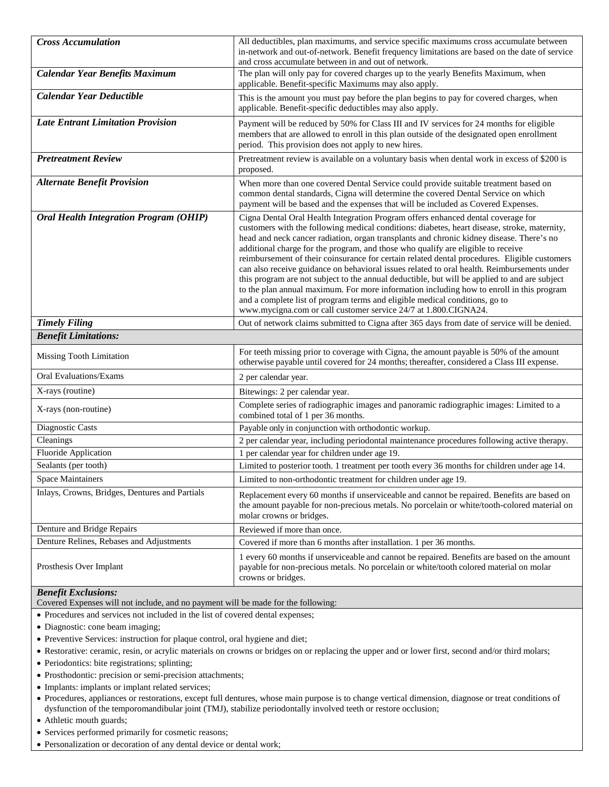| <b>Cross Accumulation</b>                      | All deductibles, plan maximums, and service specific maximums cross accumulate between<br>in-network and out-of-network. Benefit frequency limitations are based on the date of service<br>and cross accumulate between in and out of network.                                                                                                                                                                                                                                                                                                                                                                                                                                                                                                                                                                                                                                                                 |
|------------------------------------------------|----------------------------------------------------------------------------------------------------------------------------------------------------------------------------------------------------------------------------------------------------------------------------------------------------------------------------------------------------------------------------------------------------------------------------------------------------------------------------------------------------------------------------------------------------------------------------------------------------------------------------------------------------------------------------------------------------------------------------------------------------------------------------------------------------------------------------------------------------------------------------------------------------------------|
| <b>Calendar Year Benefits Maximum</b>          | The plan will only pay for covered charges up to the yearly Benefits Maximum, when<br>applicable. Benefit-specific Maximums may also apply.                                                                                                                                                                                                                                                                                                                                                                                                                                                                                                                                                                                                                                                                                                                                                                    |
| <b>Calendar Year Deductible</b>                | This is the amount you must pay before the plan begins to pay for covered charges, when<br>applicable. Benefit-specific deductibles may also apply.                                                                                                                                                                                                                                                                                                                                                                                                                                                                                                                                                                                                                                                                                                                                                            |
| <b>Late Entrant Limitation Provision</b>       | Payment will be reduced by 50% for Class III and IV services for 24 months for eligible<br>members that are allowed to enroll in this plan outside of the designated open enrollment<br>period. This provision does not apply to new hires.                                                                                                                                                                                                                                                                                                                                                                                                                                                                                                                                                                                                                                                                    |
| <b>Pretreatment Review</b>                     | Pretreatment review is available on a voluntary basis when dental work in excess of \$200 is<br>proposed.                                                                                                                                                                                                                                                                                                                                                                                                                                                                                                                                                                                                                                                                                                                                                                                                      |
| <b>Alternate Benefit Provision</b>             | When more than one covered Dental Service could provide suitable treatment based on<br>common dental standards, Cigna will determine the covered Dental Service on which<br>payment will be based and the expenses that will be included as Covered Expenses.                                                                                                                                                                                                                                                                                                                                                                                                                                                                                                                                                                                                                                                  |
| <b>Oral Health Integration Program (OHIP)</b>  | Cigna Dental Oral Health Integration Program offers enhanced dental coverage for<br>customers with the following medical conditions: diabetes, heart disease, stroke, maternity,<br>head and neck cancer radiation, organ transplants and chronic kidney disease. There's no<br>additional charge for the program, and those who qualify are eligible to receive<br>reimbursement of their coinsurance for certain related dental procedures. Eligible customers<br>can also receive guidance on behavioral issues related to oral health. Reimbursements under<br>this program are not subject to the annual deductible, but will be applied to and are subject<br>to the plan annual maximum. For more information including how to enroll in this program<br>and a complete list of program terms and eligible medical conditions, go to<br>www.mycigna.com or call customer service 24/7 at 1.800.CIGNA24. |
| <b>Timely Filing</b>                           | Out of network claims submitted to Cigna after 365 days from date of service will be denied.                                                                                                                                                                                                                                                                                                                                                                                                                                                                                                                                                                                                                                                                                                                                                                                                                   |
| <b>Benefit Limitations:</b>                    |                                                                                                                                                                                                                                                                                                                                                                                                                                                                                                                                                                                                                                                                                                                                                                                                                                                                                                                |
| Missing Tooth Limitation                       | For teeth missing prior to coverage with Cigna, the amount payable is 50% of the amount<br>otherwise payable until covered for 24 months; thereafter, considered a Class III expense.                                                                                                                                                                                                                                                                                                                                                                                                                                                                                                                                                                                                                                                                                                                          |
| Oral Evaluations/Exams                         | 2 per calendar year.                                                                                                                                                                                                                                                                                                                                                                                                                                                                                                                                                                                                                                                                                                                                                                                                                                                                                           |
| X-rays (routine)                               | Bitewings: 2 per calendar year.                                                                                                                                                                                                                                                                                                                                                                                                                                                                                                                                                                                                                                                                                                                                                                                                                                                                                |
| X-rays (non-routine)                           | Complete series of radiographic images and panoramic radiographic images: Limited to a<br>combined total of 1 per 36 months.                                                                                                                                                                                                                                                                                                                                                                                                                                                                                                                                                                                                                                                                                                                                                                                   |
| Diagnostic Casts                               | Payable only in conjunction with orthodontic workup.                                                                                                                                                                                                                                                                                                                                                                                                                                                                                                                                                                                                                                                                                                                                                                                                                                                           |
| Cleanings                                      | 2 per calendar year, including periodontal maintenance procedures following active therapy.                                                                                                                                                                                                                                                                                                                                                                                                                                                                                                                                                                                                                                                                                                                                                                                                                    |
| Fluoride Application                           | 1 per calendar year for children under age 19.                                                                                                                                                                                                                                                                                                                                                                                                                                                                                                                                                                                                                                                                                                                                                                                                                                                                 |
| Sealants (per tooth)                           | Limited to posterior tooth. 1 treatment per tooth every 36 months for children under age 14.                                                                                                                                                                                                                                                                                                                                                                                                                                                                                                                                                                                                                                                                                                                                                                                                                   |
| <b>Space Maintainers</b>                       | Limited to non-orthodontic treatment for children under age 19.                                                                                                                                                                                                                                                                                                                                                                                                                                                                                                                                                                                                                                                                                                                                                                                                                                                |
| Inlays, Crowns, Bridges, Dentures and Partials | Replacement every 60 months if unserviceable and cannot be repaired. Benefits are based on<br>the amount payable for non-precious metals. No porcelain or white/tooth-colored material on<br>molar crowns or bridges.                                                                                                                                                                                                                                                                                                                                                                                                                                                                                                                                                                                                                                                                                          |
| Denture and Bridge Repairs                     | Reviewed if more than once.                                                                                                                                                                                                                                                                                                                                                                                                                                                                                                                                                                                                                                                                                                                                                                                                                                                                                    |
| Denture Relines, Rebases and Adjustments       | Covered if more than 6 months after installation. 1 per 36 months.                                                                                                                                                                                                                                                                                                                                                                                                                                                                                                                                                                                                                                                                                                                                                                                                                                             |
| Prosthesis Over Implant                        | 1 every 60 months if unserviceable and cannot be repaired. Benefits are based on the amount<br>payable for non-precious metals. No porcelain or white/tooth colored material on molar<br>crowns or bridges.                                                                                                                                                                                                                                                                                                                                                                                                                                                                                                                                                                                                                                                                                                    |

## *Benefit Exclusions:*

Covered Expenses will not include, and no payment will be made for the following:

• Procedures and services not included in the list of covered dental expenses;

- Diagnostic: cone beam imaging;
- Preventive Services: instruction for plaque control, oral hygiene and diet;
- Restorative: ceramic, resin, or acrylic materials on crowns or bridges on or replacing the upper and or lower first, second and/or third molars;
- Periodontics: bite registrations; splinting;
- Prosthodontic: precision or semi-precision attachments;
- Implants: implants or implant related services;
- Procedures, appliances or restorations, except full dentures, whose main purpose is to change vertical dimension, diagnose or treat conditions of dysfunction of the temporomandibular joint (TMJ), stabilize periodontally involved teeth or restore occlusion;
- Athletic mouth guards;
- Services performed primarily for cosmetic reasons;
- Personalization or decoration of any dental device or dental work;